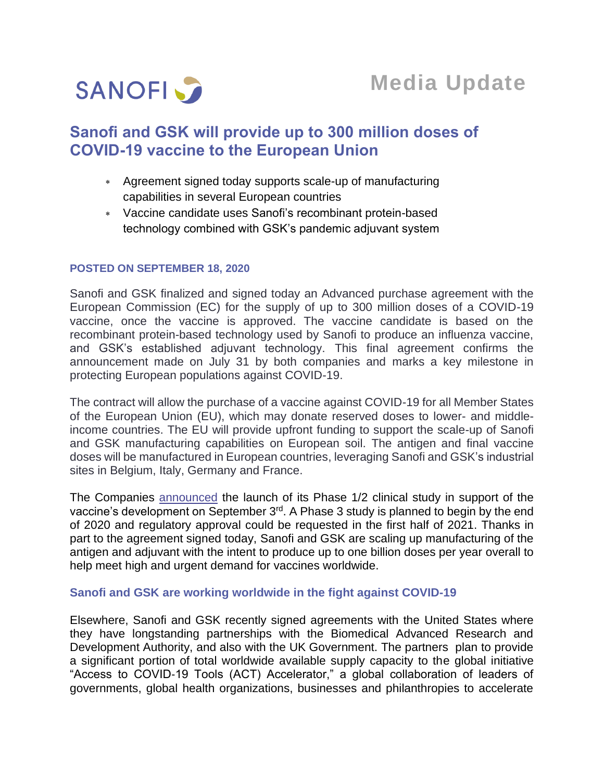

# **Sanofi and GSK will provide up to 300 million doses of COVID-19 vaccine to the European Union**

- Agreement signed today supports scale-up of manufacturing capabilities in several European countries
- Vaccine candidate uses Sanofi's recombinant protein-based technology combined with GSK's pandemic adjuvant system

### **POSTED ON SEPTEMBER 18, 2020**

Sanofi and GSK finalized and signed today an Advanced purchase agreement with the European Commission (EC) for the supply of up to 300 million doses of a COVID-19 vaccine, once the vaccine is approved. The vaccine candidate is based on the recombinant protein-based technology used by Sanofi to produce an influenza vaccine, and GSK's established adjuvant technology. This final agreement confirms the announcement made on July 31 by both companies and marks a key milestone in protecting European populations against COVID-19.

The contract will allow the purchase of a vaccine against COVID-19 for all Member States of the European Union (EU), which may donate reserved doses to lower- and middleincome countries. The EU will provide upfront funding to support the scale-up of Sanofi and GSK manufacturing capabilities on European soil. The antigen and final vaccine doses will be manufactured in European countries, leveraging Sanofi and GSK's industrial sites in Belgium, Italy, Germany and France.

The Companies [announced](https://www.sanofi.com/en/media-room/press-releases/2020/2020-09-03-07-00-00) the launch of its Phase 1/2 clinical study in support of the vaccine's development on September 3<sup>rd</sup>. A Phase 3 study is planned to begin by the end of 2020 and regulatory approval could be requested in the first half of 2021. Thanks in part to the agreement signed today, Sanofi and GSK are scaling up manufacturing of the antigen and adjuvant with the intent to produce up to one billion doses per year overall to help meet high and urgent demand for vaccines worldwide.

## **Sanofi and GSK are working worldwide in the fight against COVID-19**

Elsewhere, Sanofi and GSK recently signed agreements with the United States where they have longstanding partnerships with the Biomedical Advanced Research and Development Authority, and also with the UK Government. The partners plan to provide a significant portion of total worldwide available supply capacity to the global initiative "Access to COVID‐19 Tools (ACT) Accelerator," a global collaboration of leaders of governments, global health organizations, businesses and philanthropies to accelerate